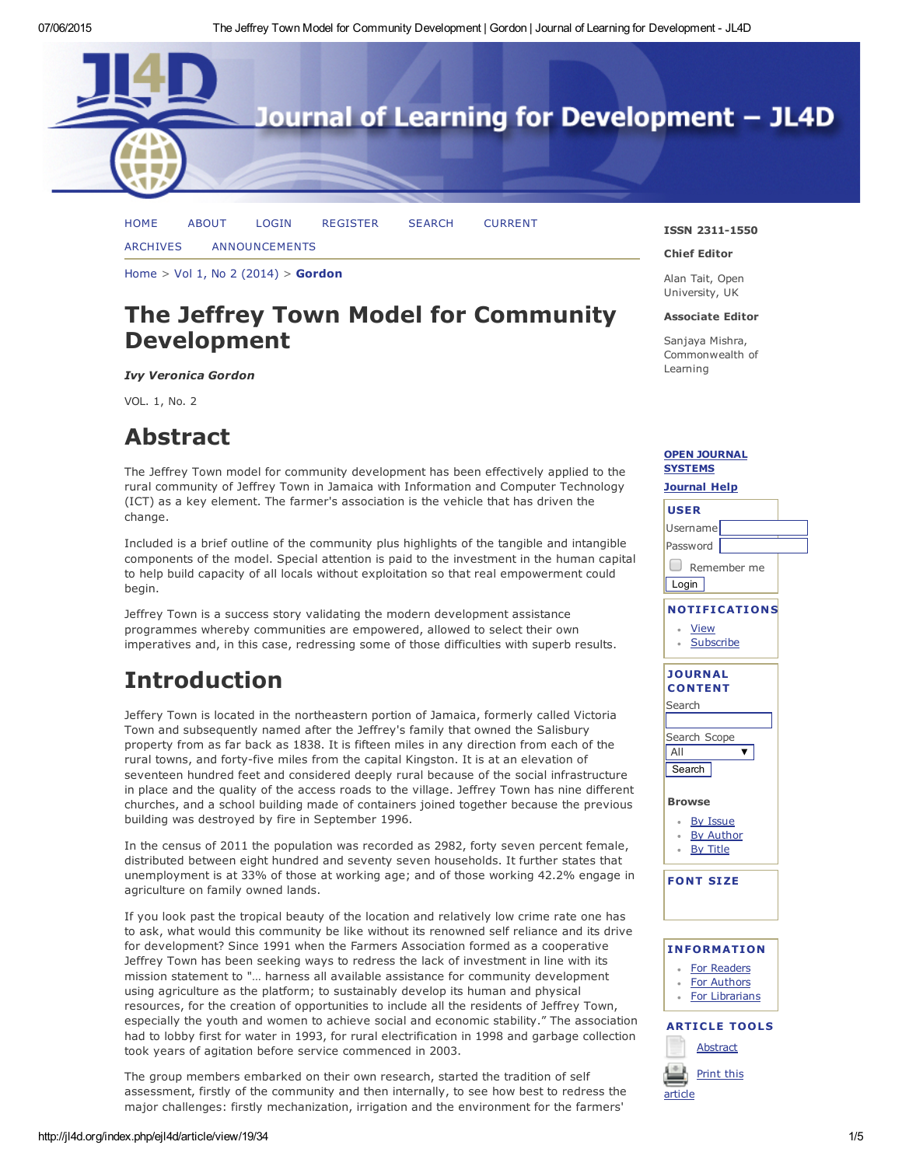

[ARCHIVES](http://jl4d.org/index.php/ejl4d/issue/archive) [ANNOUNCEMENTS](http://jl4d.org/index.php/ejl4d/announcement)

[Home](http://jl4d.org/index.php/ejl4d/index)  $>$  Vol 1, No 2 [\(2014\)](http://jl4d.org/index.php/ejl4d/issue/view/2)  $>$  [Gordon](http://jl4d.org/index.php/ejl4d/article/view/19/34)

## The Jeffrey Town Model for Community Development

*Ivy Veronica Gordon*

VOL. 1, No. 2

## Abstract

The Jeffrey Town model for community development has been effectively applied to the rural community of Jeffrey Town in Jamaica with Information and Computer Technology (ICT) as a key element. The farmer's association is the vehicle that has driven the change.

Included is a brief outline of the community plus highlights of the tangible and intangible components of the model. Special attention is paid to the investment in the human capital to help build capacity of all locals without exploitation so that real empowerment could begin.

Jeffrey Town is a success story validating the modern development assistance programmes whereby communities are empowered, allowed to select their own imperatives and, in this case, redressing some of those difficulties with superb results.

# Introduction

Jeffery Town is located in the northeastern portion of Jamaica, formerly called Victoria Town and subsequently named after the Jeffrey's family that owned the Salisbury property from as far back as 1838. It is fifteen miles in any direction from each of the rural towns, and forty-five miles from the capital Kingston. It is at an elevation of seventeen hundred feet and considered deeply rural because of the social infrastructure in place and the quality of the access roads to the village. Jeffrey Town has nine different churches, and a school building made of containers joined together because the previous building was destroyed by fire in September 1996.

In the census of 2011 the population was recorded as 2982, forty seven percent female, distributed between eight hundred and seventy seven households. It further states that unemployment is at 33% of those at working age; and of those working 42.2% engage in [agriculture](javascript:void(0);) on family owned lands.

If you look past the tropical beauty of the location and relatively low crime rate one has to ask, what would this community be like without its renowned self reliance and its drive for development? Since 1991 when the Farmers Association formed as a cooperative Jeffrey Town has been seeking ways to redress the lack of investment in line with its mission statement to "… harness all available assistance for community development using agriculture as the platform; to sustainably develop its human and physical resources, for the creation of opportunities to include all the residents of Jeffrey Town, especially the youth and women to achieve social and economic stability." The association had to lobby first for water in 1993, for rural electrification in 1998 and garbage collection took years of agitation before service commenced in 2003.

The group members embarked on their own research, started the tradition of self assessment, firstly of the community and then internally, to see how best to redress the major challenges: firstly mechanization, irrigation and the environment for the farmers'

### ISSN 2311-1550

#### Chief Editor

Alan Tait, Open University, UK

### Associate Editor

Sanjaya Mishra, Commonwealth of Learning

### OPEN [JOURNAL](http://pkp.sfu.ca/ojs/) SYSTEMS

## [Journal](javascript:openHelp() Help USER Username Password Remember me **Login** NOTIFICATIONS [View](http://jl4d.org/index.php/ejl4d/notification) **[Subscribe](http://jl4d.org/index.php/ejl4d/notification/subscribeMailList)** JOURNAL **CONTENT** Search Search Scope All  $\overline{\textbf{v}}$ **Search** Browse By [Issue](http://jl4d.org/index.php/ejl4d/issue/archive) By [Author](http://jl4d.org/index.php/ejl4d/search/authors) By [Title](http://jl4d.org/index.php/ejl4d/search/titles) FONT SIZE INFORMATION For [Readers](http://jl4d.org/index.php/ejl4d/information/readers)



### **ARTICLE TOOLS [Abstract](http://jl4d.org/index.php/ejl4d/article/view/19)**

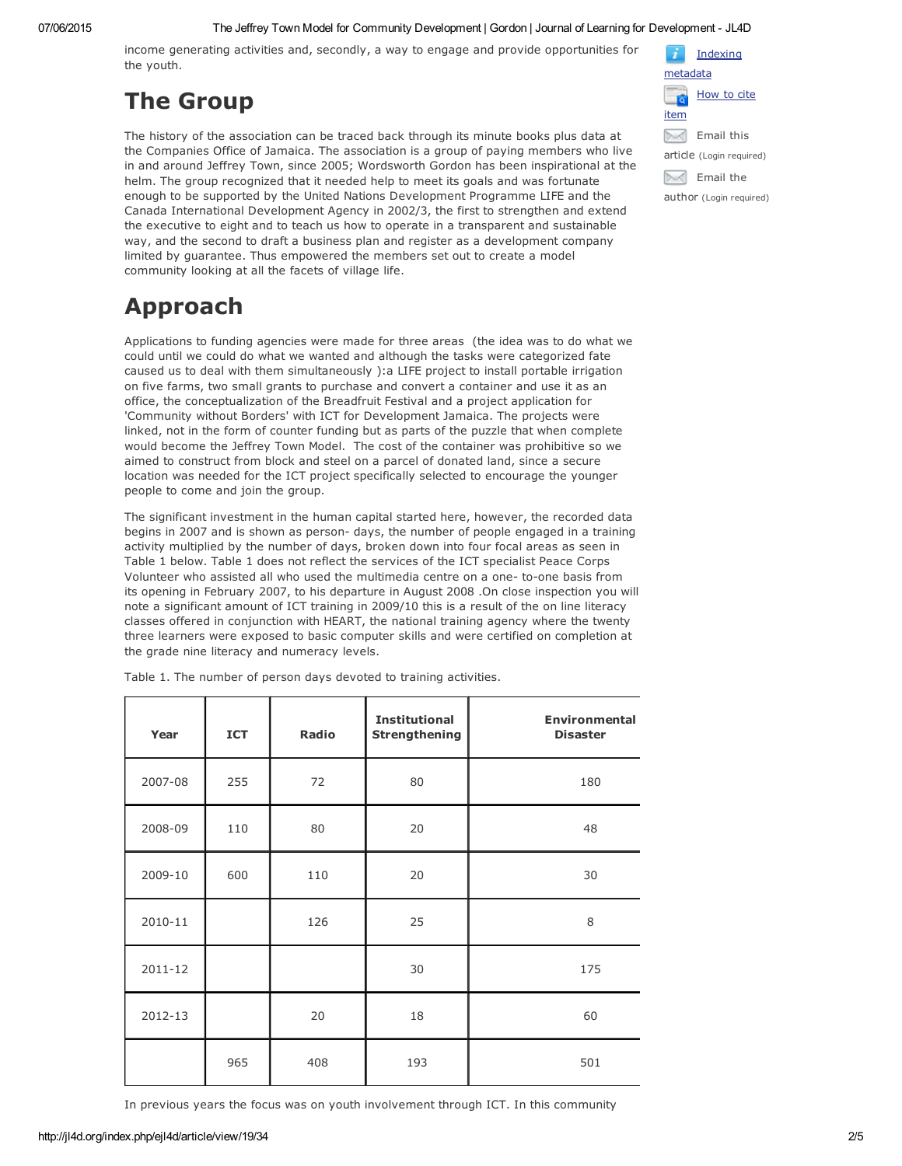### 07/06/2015 The Jeffrey Town Model for Community Development | Gordon | Journal of Learning for Development - JL4D

income generating activities and, secondly, a way to engage and provide opportunities for the youth.

# The Group

The history of the association can be traced back through its minute books plus data at the Companies Office of Jamaica. The association is a group of paying members who live in and around Jeffrey Town, since 2005; Wordsworth Gordon has been inspirational at the helm. The group recognized that it needed help to meet its goals and was fortunate enough to be supported by the United Nations Development Programme LIFE and the Canada International Development Agency in 2002/3, the first to strengthen and extend the executive to eight and to teach us how to operate in a transparent and sustainable way, and the second to draft a business plan and register as a development company limited by guarantee. Thus empowered the members set out to create a model community looking at all the facets of village life.

# Approach

Applications to funding agencies were made for three areas (the idea was to do what we could until we could do what we wanted and although the tasks were categorized fate caused us to deal with them simultaneously ):a LIFE project to install portable irrigation on five farms, two small grants to purchase and convert a container and use it as an office, the conceptualization of the Breadfruit Festival and a project application for 'Community without Borders' with ICT for Development Jamaica. The projects were linked, not in the form of counter funding but as parts of the puzzle that when complete would become the Jeffrey Town Model. The cost of the container was prohibitive so we aimed to construct from block and steel on a parcel of donated land, since a secure location was needed for the ICT project specifically selected to encourage the younger people to come and join the group.

The significant investment in the human capital started here, however, the recorded data begins in 2007 and is shown as person- days, the number of people engaged in a training activity multiplied by the number of days, broken down into four focal areas as seen in Table 1 below. Table 1 does not reflect the services of the ICT specialist Peace Corps Volunteer who assisted all who used the multimedia centre on a one- to-one basis from its opening in February 2007, to his departure in August 2008 .On close inspection you will note a significant amount of ICT training in 2009/10 this is a result of the on line literacy classes offered in conjunction with HEART, the national training agency where the twenty three learners were exposed to basic computer skills and were certified on completion at the grade nine literacy and numeracy levels.

| Year    | <b>ICT</b> | Radio | <b>Institutional</b><br><b>Strengthening</b> | <b>Environmental</b><br><b>Disaster</b> |
|---------|------------|-------|----------------------------------------------|-----------------------------------------|
| 2007-08 | 255        | 72    | 80                                           | 180                                     |
| 2008-09 | 110        | 80    | 20                                           | 48                                      |
| 2009-10 | 600        | 110   | 20                                           | 30                                      |
| 2010-11 |            | 126   | 25                                           | 8                                       |
| 2011-12 |            |       | 30                                           | 175                                     |
| 2012-13 |            | 20    | 18                                           | 60                                      |
|         | 965        | 408   | 193                                          | 501                                     |

Table 1. The number of person days devoted to training activities.

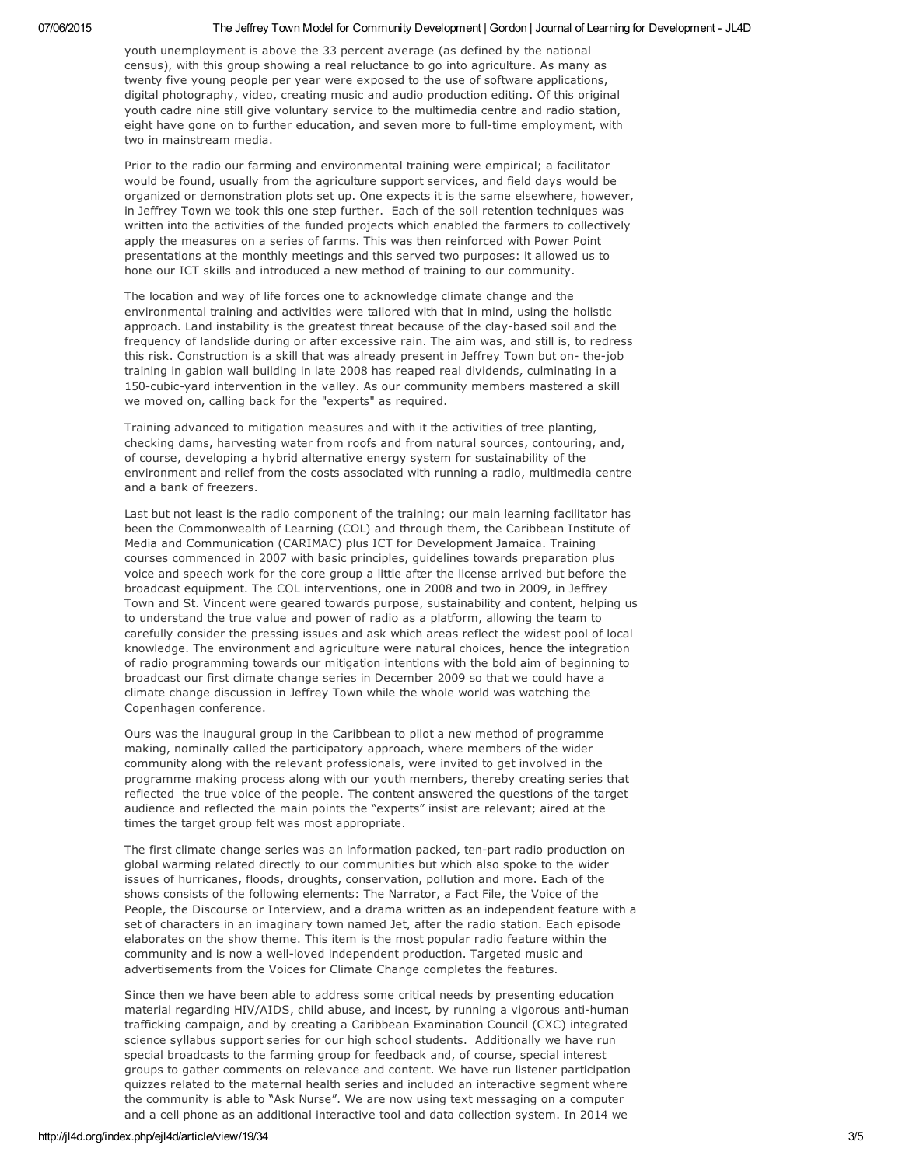### 07/06/2015 The Jeffrey Town Model for Community Development | Gordon | Journal of Learning for Development - JL4D

youth unemployment is above the 33 percent average (as defined by the national census), with this group showing a real reluctance to go into agriculture. As many as twenty five young people per year were exposed to the use of software applications, digital photography, video, creating music and audio production editing. Of this original youth cadre nine still give voluntary service to the multimedia centre and radio station, eight have gone on to further education, and seven more to full-time employment, with two in mainstream media.

Prior to the radio our farming and environmental training were empirical; a facilitator would be found, usually from the agriculture support services, and field days would be organized or demonstration plots set up. One expects it is the same elsewhere, however, in Jeffrey Town we took this one step further. Each of the soil retention techniques was written into the activities of the funded projects which enabled the farmers to collectively apply the measures on a series of farms. This was then reinforced with Power Point presentations at the monthly meetings and this served two purposes: it allowed us to hone our ICT skills and introduced a new method of training to our community.

The location and way of life forces one to acknowledge climate change and the environmental training and activities were tailored with that in mind, using the holistic approach. Land instability is the greatest threat because of the clay-based soil and the frequency of landslide during or after excessive rain. The aim was, and still is, to redress this risk. Construction is a skill that was already present in Jeffrey Town but on- the-job training in gabion wall building in late 2008 has reaped real dividends, culminating in a 150-cubic-yard intervention in the valley. As our community members mastered a skill we moved on, calling back for the "experts" as required.

Training advanced to mitigation measures and with it the activities of tree planting, checking dams, harvesting water from roofs and from natural sources, contouring, and, of course, developing a hybrid alternative energy system for sustainability of the environment and relief from the costs associated with running a radio, multimedia centre and a bank of freezers.

Last but not least is the radio component of the training; our main learning facilitator has been the Commonwealth of Learning (COL) and through them, the Caribbean Institute of Media and Communication (CARIMAC) plus ICT for Development Jamaica. Training courses commenced in 2007 with basic principles, guidelines towards preparation plus voice and speech work for the core group a little after the license arrived but before the broadcast equipment. The COL interventions, one in 2008 and two in 2009, in Jeffrey Town and St. Vincent were geared towards purpose, sustainability and content, helping us to understand the true value and power of radio as a platform, allowing the team to carefully consider the pressing issues and ask which areas reflect the widest pool of local knowledge. The environment and agriculture were natural choices, hence the integration of radio programming towards our mitigation intentions with the bold aim of beginning to broadcast our first climate change series in December 2009 so that we could have a climate change discussion in Jeffrey Town while the whole world was watching the Copenhagen conference.

Ours was the inaugural group in the Caribbean to pilot a new method of programme making, nominally called the participatory approach, where members of the wider community along with the relevant professionals, were invited to get involved in the programme making process along with our youth members, thereby creating series that reflected the true voice of the people. The content answered the questions of the target audience and reflected the main points the "experts" insist are relevant; aired at the times the target group felt was most appropriate.

The first climate change series was an information packed, ten-part radio production on global warming related directly to our communities but which also spoke to the wider issues of hurricanes, floods, droughts, conservation, pollution and more. Each of the shows consists of the following elements: The Narrator, a Fact File, the Voice of the People, the Discourse or Interview, and a drama written as an independent feature with a set of characters in an imaginary town named Jet, after the radio station. Each episode elaborates on the show theme. This item is the most popular radio feature within the community and is now a well-loved independent production. Targeted music and advertisements from the Voices for Climate Change completes the features.

Since then we have been able to address some critical needs by presenting education material regarding HIV/AIDS, child abuse, and incest, by running a vigorous anti-human trafficking campaign, and by creating a Caribbean Examination Council (CXC) integrated science syllabus support series for our high school students. Additionally we have run special broadcasts to the farming group for feedback and, of course, special interest groups to gather comments on relevance and content. We have run listener participation quizzes related to the maternal health series and included an interactive segment where the community is able to "Ask Nurse". We are now using text messaging on a computer and a cell phone as an additional interactive tool and data collection system. In 2014 we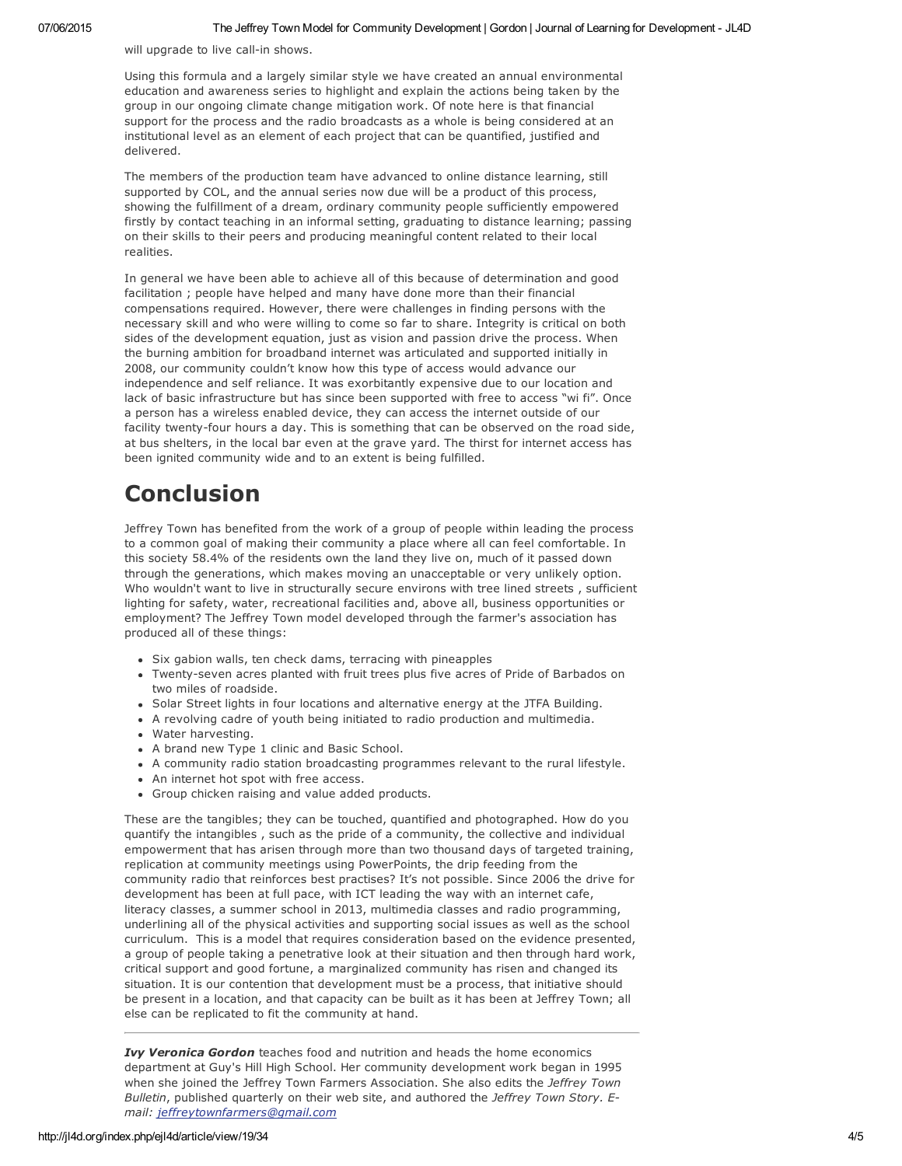will upgrade to live call-in shows.

Using this formula and a largely similar style we have created an annual environmental education and awareness series to highlight and explain the actions being taken by the group in our ongoing climate change mitigation work. Of note here is that financial support for the process and the radio broadcasts as a whole is being considered at an institutional level as an element of each project that can be quantified, justified and delivered.

The members of the production team have advanced to online distance learning, still supported by COL, and the annual series now due will be a product of this process, showing the fulfillment of a dream, ordinary community people sufficiently empowered firstly by contact teaching in an informal setting, graduating to distance learning; passing on their skills to their peers and producing meaningful content related to their local realities.

In general we have been able to achieve all of this because of determination and good facilitation ; people have helped and many have done more than their financial compensations required. However, there were challenges in finding persons with the necessary skill and who were willing to come so far to share. Integrity is critical on both sides of the development equation, just as vision and passion drive the process. When the burning ambition for broadband internet was articulated and supported initially in 2008, our community couldn't know how this type of access would advance our independence and self reliance. It was exorbitantly expensive due to our location and lack of basic infrastructure but has since been supported with free to access "wi fi". Once a person has a wireless enabled device, they can access the internet outside of our facility twenty-four hours a day. This is something that can be observed on the road side, at bus shelters, in the local bar even at the grave yard. The thirst for internet access has been ignited community wide and to an extent is being fulfilled.

## Conclusion

Jeffrey Town has benefited from the work of a group of people within leading the process to a common goal of making their community a place where all can feel comfortable. In this society 58.4% of the residents own the land they live on, much of it passed down through the generations, which makes moving an unacceptable or very unlikely option. Who wouldn't want to live in structurally secure environs with tree lined streets , sufficient lighting for safety, water, recreational facilities and, above all, business opportunities or employment? The Jeffrey Town model developed through the farmer's association has produced all of these things:

- Six gabion walls, ten check dams, terracing with pineapples
- Twenty-seven acres planted with fruit trees plus five acres of Pride of Barbados on two miles of roadside.
- Solar Street lights in four locations and alternative energy at the JTFA Building.
- A revolving cadre of youth being initiated to radio production and multimedia.
- Water harvesting.
- A brand new Type 1 clinic and Basic School.
- A community radio station broadcasting programmes relevant to the rural lifestyle.
- An internet hot spot with free access.
- Group chicken raising and value added products.

These are the tangibles; they can be touched, quantified and photographed. How do you quantify the intangibles , such as the pride of a community, the collective and individual empowerment that has arisen through more than two thousand days of targeted training, replication at community meetings using PowerPoints, the drip feeding from the community radio that reinforces best practises? It's not possible. Since 2006 the drive for development has been at full pace, with ICT leading the way with an internet cafe, literacy classes, a summer school in 2013, multimedia classes and radio programming, underlining all of the physical activities and supporting social issues as well as the school curriculum. This is a model that requires consideration based on the evidence presented, a group of people taking a penetrative look at their situation and then through hard work, critical support and good fortune, a marginalized community has risen and changed its situation. It is our contention that development must be a process, that initiative should be present in a location, and that capacity can be built as it has been at Jeffrey Town; all else can be replicated to fit the community at hand.

*Ivy Veronica Gordon* teaches food and nutrition and heads the home economics department at Guy's Hill High School. Her community development work began in 1995 when she joined the Jeffrey Town Farmers Association. She also edits the *Jeffrey Town Bulletin*, published quarterly on their web site, and authored the *Jeffrey Town Story. Email: [jeffreytownfarmers@gmail.com](mailto:jeffreytownfarmers@gmail.com)*